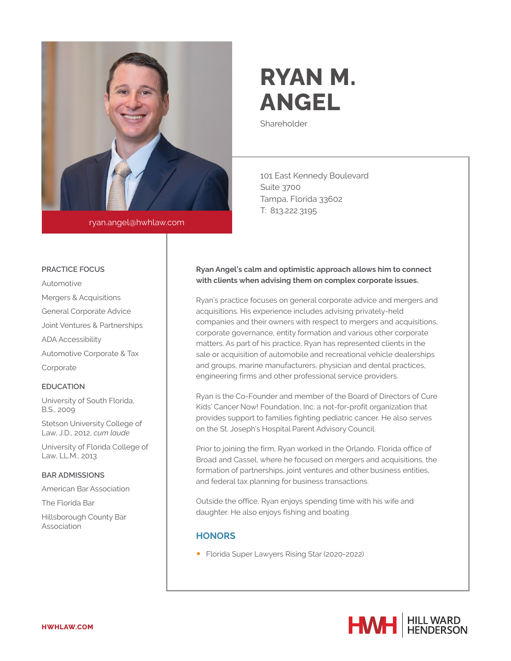

ryan.angel@hwhlaw.com

# **RYAN M. ANGEL**

Shareholder

101 East Kennedy Boulevard Suite 3700 Tampa, Florida 33602 T: 813.222.3195

#### **PRACTICE FOCUS**

Automotive Mergers & Acquisitions General Corporate Advice Joint Ventures & Partnerships ADA Accessibility Automotive Corporate & Tax Corporate

#### **EDUCATION**

University of South Florida, B.S., 2009

Stetson University College of Law, J.D., 2012, *cum laude*

University of Florida College of Law, LL.M., 2013

### **BAR ADMISSIONS**

American Bar Association

The Florida Bar

Hillsborough County Bar Association

## **Ryan Angel's calm and optimistic approach allows him to connect with clients when advising them on complex corporate issues.**

Ryan's practice focuses on general corporate advice and mergers and acquisitions. His experience includes advising privately-held companies and their owners with respect to mergers and acquisitions, corporate governance, entity formation and various other corporate matters. As part of his practice, Ryan has represented clients in the sale or acquisition of automobile and recreational vehicle dealerships and groups, marine manufacturers, physician and dental practices, engineering firms and other professional service providers.

Ryan is the Co-Founder and member of the Board of Directors of Cure Kids' Cancer Now! Foundation, Inc. a not-for-profit organization that provides support to families fighting pediatric cancer. He also serves on the St. Joseph's Hospital Parent Advisory Council.

Prior to joining the firm, Ryan worked in the Orlando, Florida office of Broad and Cassel, where he focused on mergers and acquisitions, the formation of partnerships, joint ventures and other business entities, and federal tax planning for business transactions.

Outside the office, Ryan enjoys spending time with his wife and daughter. He also enjoys fishing and boating.

## **HONORS**

● Florida Super Lawyers Rising Star (2020-2022)

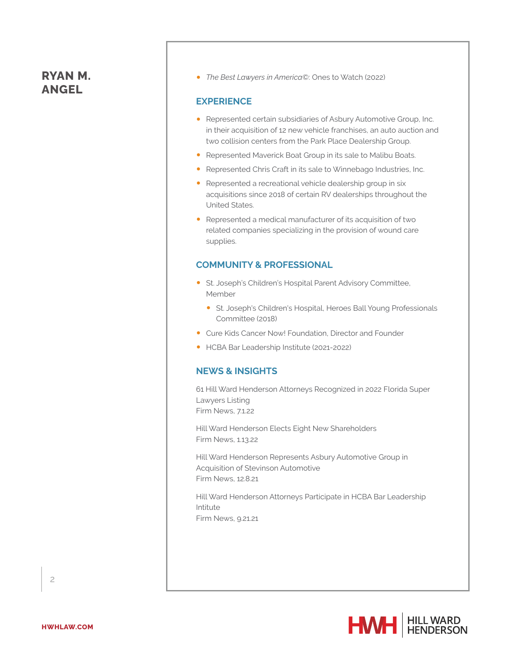# **RYAN M. ANGEL**

● *The Best Lawyers in America©*: Ones to Watch (2022)

## **EXPERIENCE**

- Represented certain subsidiaries of Asbury Automotive Group, Inc. in their acquisition of 12 new vehicle franchises, an auto auction and two collision centers from the Park Place Dealership Group.
- Represented Maverick Boat Group in its sale to Malibu Boats.
- Represented Chris Craft in its sale to Winnebago Industries, Inc.
- Represented a recreational vehicle dealership group in six acquisitions since 2018 of certain RV dealerships throughout the United States.
- Represented a medical manufacturer of its acquisition of two related companies specializing in the provision of wound care supplies.

## **COMMUNITY & PROFESSIONAL**

- St. Joseph's Children's Hospital Parent Advisory Committee, Member
	- St. Joseph's Children's Hospital, Heroes Ball Young Professionals Committee (2018)
- Cure Kids Cancer Now! Foundation, Director and Founder
- HCBA Bar Leadership Institute (2021-2022)

## **NEWS & INSIGHTS**

61 Hill Ward Henderson Attorneys Recognized in 2022 Florida Super Lawyers Listing Firm News, 7.1.22

Hill Ward Henderson Elects Eight New Shareholders Firm News, 1.13.22

Hill Ward Henderson Represents Asbury Automotive Group in Acquisition of Stevinson Automotive Firm News, 12.8.21

Hill Ward Henderson Attorneys Participate in HCBA Bar Leadership Intitute Firm News, 9.21.21